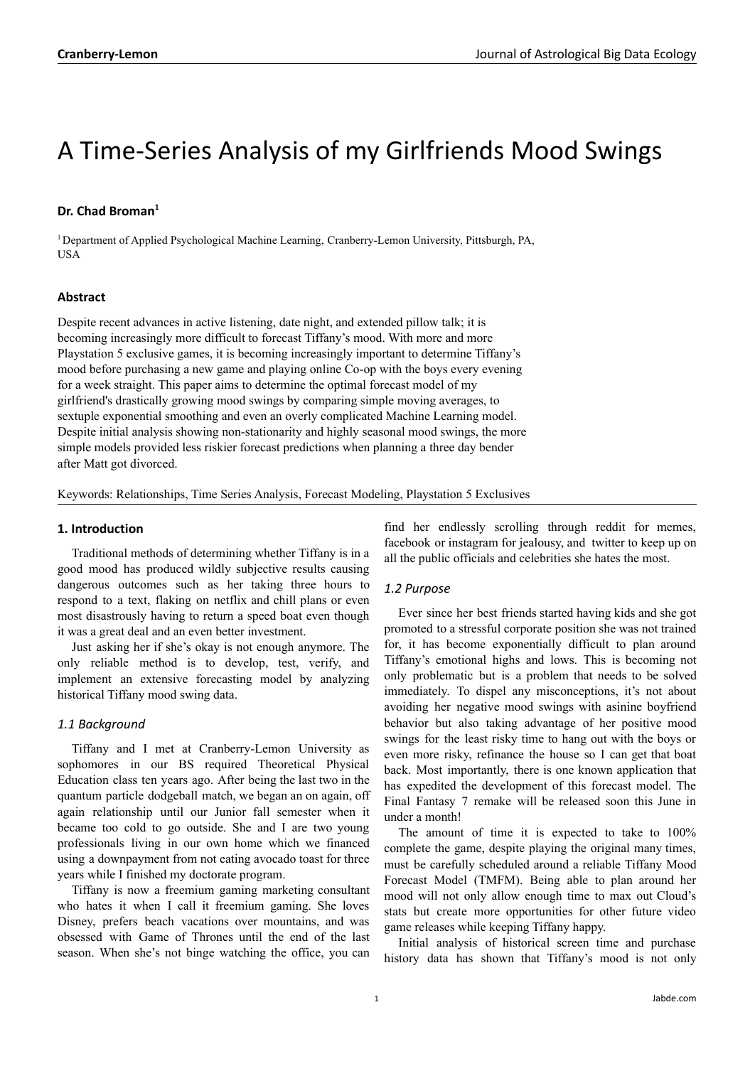# A Time-Series Analysis of my Girlfriends Mood Swings

## **Dr. Chad Broman 1**

<sup>1</sup> Department of Applied Psychological Machine Learning, Cranberry-Lemon University, Pittsburgh, PA, USA

### **Abstract**

Despite recent advances in active listening, date night, and extended pillow talk; it is becoming increasingly more difficult to forecast Tiffany's mood. With more and more Playstation 5 exclusive games, it is becoming increasingly important to determine Tiffany's mood before purchasing a new game and playing online Co-op with the boys every evening for a week straight. This paper aims to determine the optimal forecast model of my girlfriend's drastically growing mood swings by comparing simple moving averages, to sextuple exponential smoothing and even an overly complicated Machine Learning model. Despite initial analysis showing non-stationarity and highly seasonal mood swings, the more simple models provided less riskier forecast predictions when planning a three day bender after Matt got divorced.

Keywords: Relationships, Time Series Analysis, Forecast Modeling, Playstation 5 Exclusives

#### **1. Introduction**

Traditional methods of determining whether Tiffany is in a good mood has produced wildly subjective results causing dangerous outcomes such as her taking three hours to respond to a text, flaking on netflix and chill plans or even most disastrously having to return a speed boat even though it was a great deal and an even better investment.

Just asking her if she's okay is not enough anymore. The only reliable method is to develop, test, verify, and implement an extensive forecasting model by analyzing historical Tiffany mood swing data.

#### *1.1 Background*

Tiffany and I met at Cranberry-Lemon University as sophomores in our BS required Theoretical Physical Education class ten years ago. After being the last two in the quantum particle dodgeball match, we began an on again, off again relationship until our Junior fall semester when it became too cold to go outside. She and I are two young professionals living in our own home which we financed using a downpayment from not eating avocado toast for three years while I finished my doctorate program.

Tiffany is now a freemium gaming marketing consultant who hates it when I call it freemium gaming. She loves Disney, prefers beach vacations over mountains, and was obsessed with Game of Thrones until the end of the last season. When she's not binge watching the office, you can

find her endlessly scrolling through reddit for memes, facebook or instagram for jealousy, and twitter to keep up on all the public officials and celebrities she hates the most.

#### *1.2 Purpose*

Ever since her best friends started having kids and she got promoted to a stressful corporate position she was not trained for, it has become exponentially difficult to plan around Tiffany's emotional highs and lows. This is becoming not only problematic but is a problem that needs to be solved immediately. To dispel any misconceptions, it's not about avoiding her negative mood swings with asinine boyfriend behavior but also taking advantage of her positive mood swings for the least risky time to hang out with the boys or even more risky, refinance the house so I can get that boat back. Most importantly, there is one known application that has expedited the development of this forecast model. The Final Fantasy 7 remake will be released soon this June in under a month!

The amount of time it is expected to take to 100% complete the game, despite playing the original many times, must be carefully scheduled around a reliable Tiffany Mood Forecast Model (TMFM). Being able to plan around her mood will not only allow enough time to max out Cloud's stats but create more opportunities for other future video game releases while keeping Tiffany happy.

Initial analysis of historical screen time and purchase history data has shown that Tiffany's mood is not only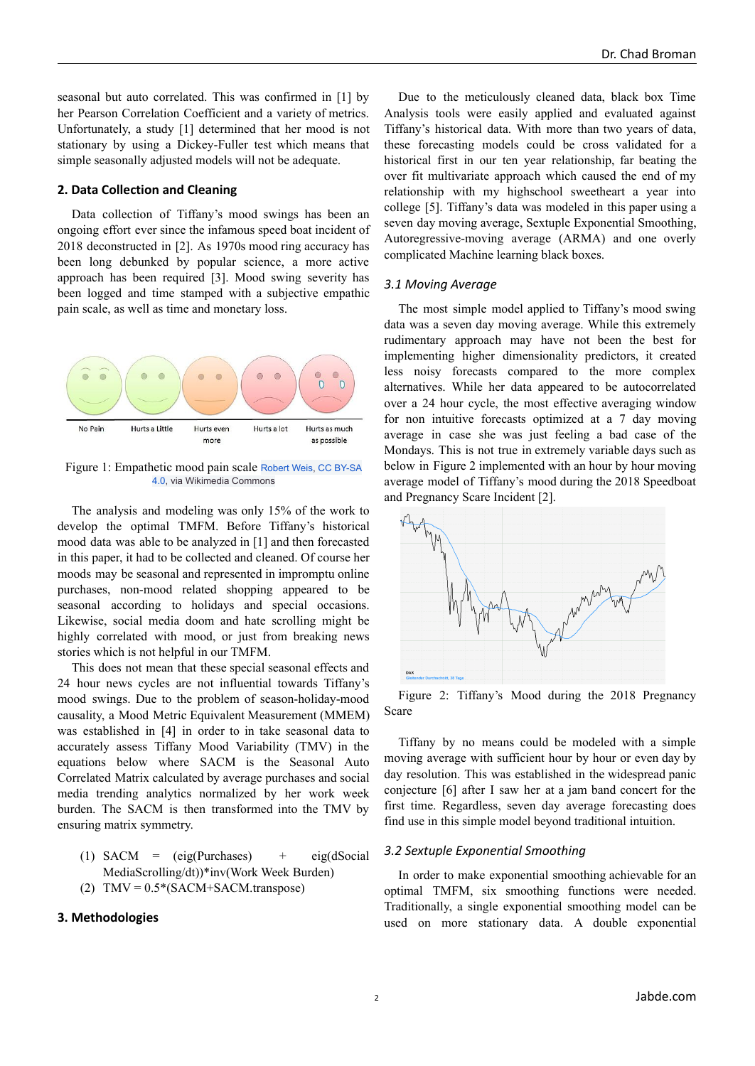seasonal but auto correlated. This was confirmed in [1] by her Pearson Correlation Coefficient and a variety of metrics. Unfortunately, a study [1] determined that her mood is not stationary by using a Dickey-Fuller test which means that simple seasonally adjusted models will not be adequate.

#### **2. Data Collection and Cleaning**

Data collection of Tiffany's mood swings has been an ongoing effort ever since the infamous speed boat incident of 2018 deconstructed in [2]. As 1970s mood ring accuracy has been long debunked by popular science, a more active approach has been required [3]. Mood swing severity has been logged and time stamped with a subjective empathic pain scale, as well as time and monetary loss.



Figure 1: Empathetic mood pain scale [Robert Weis](https://commons.wikimedia.org/wiki/File:Children%27s_pain_scale.JPG), [CC BY-SA](https://creativecommons.org/licenses/by-sa/4.0) [4.0,](https://creativecommons.org/licenses/by-sa/4.0) via Wikimedia Commons

The analysis and modeling was only 15% of the work to develop the optimal TMFM. Before Tiffany's historical mood data was able to be analyzed in [1] and then forecasted in this paper, it had to be collected and cleaned. Of course her moods may be seasonal and represented in impromptu online purchases, non-mood related shopping appeared to be seasonal according to holidays and special occasions. Likewise, social media doom and hate scrolling might be highly correlated with mood, or just from breaking news stories which is not helpful in our TMFM.

This does not mean that these special seasonal effects and 24 hour news cycles are not influential towards Tiffany's mood swings. Due to the problem of season-holiday-mood causality, a Mood Metric Equivalent Measurement (MMEM) was established in [4] in order to in take seasonal data to accurately assess Tiffany Mood Variability (TMV) in the equations below where SACM is the Seasonal Auto Correlated Matrix calculated by average purchases and social media trending analytics normalized by her work week burden. The SACM is then transformed into the TMV by ensuring matrix symmetry.

(1) SACM =  $(eig(Purchases)$  +  $eig(dSocial)$ MediaScrolling/dt))\*inv(Work Week Burden) (2)  $TMV = 0.5*(SACM+SACM.transpose)$ 

#### **3. Methodologies**

Due to the meticulously cleaned data, black box Time Analysis tools were easily applied and evaluated against Tiffany's historical data. With more than two years of data, these forecasting models could be cross validated for a historical first in our ten year relationship, far beating the over fit multivariate approach which caused the end of my relationship with my highschool sweetheart a year into college [5]. Tiffany's data was modeled in this paper using a seven day moving average, Sextuple Exponential Smoothing, Autoregressive-moving average (ARMA) and one overly complicated Machine learning black boxes.

#### *3.1 Moving Average*

The most simple model applied to Tiffany's mood swing data was a seven day moving average. While this extremely rudimentary approach may have not been the best for implementing higher dimensionality predictors, it created less noisy forecasts compared to the more complex alternatives. While her data appeared to be autocorrelated over a 24 hour cycle, the most effective averaging window for non intuitive forecasts optimized at a 7 day moving average in case she was just feeling a bad case of the Mondays. This is not true in extremely variable days such as below in Figure 2 implemented with an hour by hour moving average model of Tiffany's mood during the 2018 Speedboat and Pregnancy Scare Incident [2].



Figure 2: Tiffany's Mood during the 2018 Pregnancy Scare

Tiffany by no means could be modeled with a simple moving average with sufficient hour by hour or even day by day resolution. This was established in the widespread panic conjecture [6] after I saw her at a jam band concert for the first time. Regardless, seven day average forecasting does find use in this simple model beyond traditional intuition.

#### *3.2 Sextuple Exponential Smoothing*

In order to make exponential smoothing achievable for an optimal TMFM, six smoothing functions were needed. Traditionally, a single exponential smoothing model can be used on more stationary data. A double exponential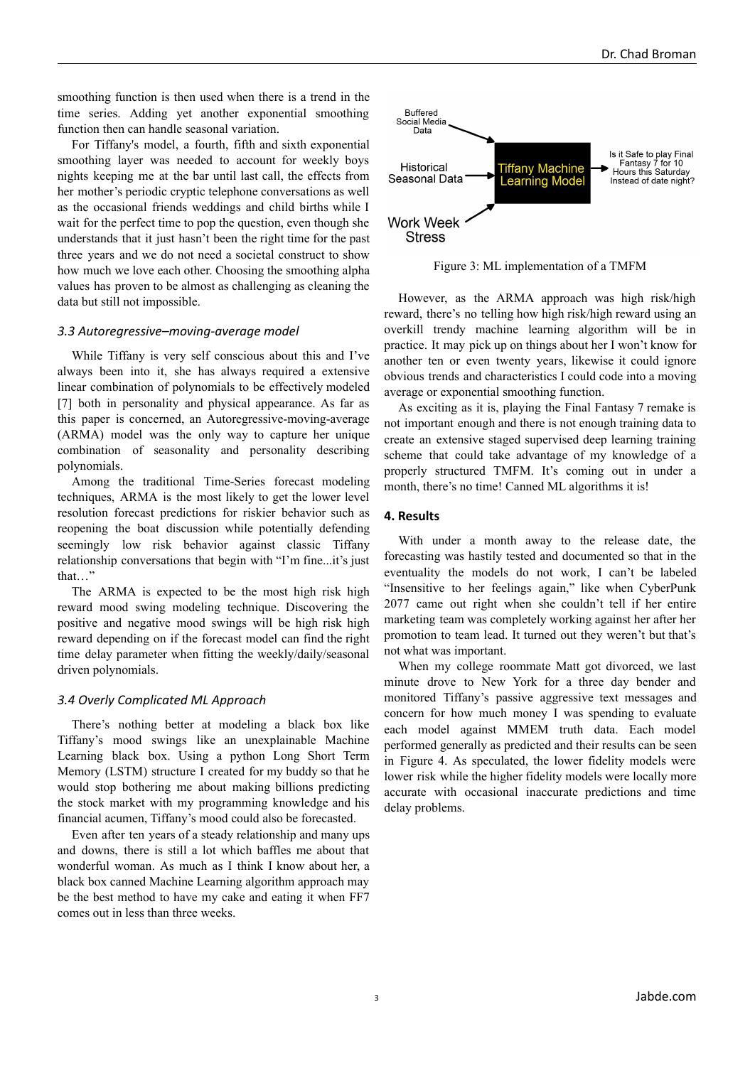smoothing function is then used when there is a trend in the time series. Adding yet another exponential smoothing function then can handle seasonal variation.

For Tiffany's model, a fourth, fifth and sixth exponential smoothing layer was needed to account for weekly boys nights keeping me at the bar until last call, the effects from her mother's periodic cryptic telephone conversations as well as the occasional friends weddings and child births while I wait for the perfect time to pop the question, even though she understands that it just hasn't been the right time for the past three years and we do not need a societal construct to show how much we love each other. Choosing the smoothing alpha values has proven to be almost as challenging as cleaning the data but still not impossible.

#### *3.3 Autoregressive–moving-average model*

While Tiffany is very self conscious about this and I've always been into it, she has always required a extensive linear combination of polynomials to be effectively modeled [7] both in personality and physical appearance. As far as this paper is concerned, an Autoregressive-moving-average (ARMA) model was the only way to capture her unique combination of seasonality and personality describing polynomials.

Among the traditional Time-Series forecast modeling techniques, ARMA is the most likely to get the lower level resolution forecast predictions for riskier behavior such as reopening the boat discussion while potentially defending seemingly low risk behavior against classic Tiffany relationship conversations that begin with "I'm fine...it's just that…"

The ARMA is expected to be the most high risk high reward mood swing modeling technique. Discovering the positive and negative mood swings will be high risk high reward depending on if the forecast model can find the right time delay parameter when fitting the weekly/daily/seasonal driven polynomials.

#### *3.4 Overly Complicated ML Approach*

There's nothing better at modeling a black box like Tiffany's mood swings like an unexplainable Machine Learning black box. Using a python Long Short Term Memory (LSTM) structure I created for my buddy so that he would stop bothering me about making billions predicting the stock market with my programming knowledge and his financial acumen, Tiffany's mood could also be forecasted.

Even after ten years of a steady relationship and many ups and downs, there is still a lot which baffles me about that wonderful woman. As much as I think I know about her, a black box canned Machine Learning algorithm approach may be the best method to have my cake and eating it when FF7 comes out in less than three weeks.



Figure 3: ML implementation of a TMFM

However, as the ARMA approach was high risk/high reward, there's no telling how high risk/high reward using an overkill trendy machine learning algorithm will be in practice. It may pick up on things about her I won't know for another ten or even twenty years, likewise it could ignore obvious trends and characteristics I could code into a moving average or exponential smoothing function.

As exciting as it is, playing the Final Fantasy 7 remake is not important enough and there is not enough training data to create an extensive staged supervised deep learning training scheme that could take advantage of my knowledge of a properly structured TMFM. It's coming out in under a month, there's no time! Canned ML algorithms it is!

#### **4. Results**

With under a month away to the release date, the forecasting was hastily tested and documented so that in the eventuality the models do not work, I can't be labeled "Insensitive to her feelings again," like when CyberPunk 2077 came out right when she couldn't tell if her entire marketing team was completely working against her after her promotion to team lead. It turned out they weren't but that's not what was important.

When my college roommate Matt got divorced, we last minute drove to New York for a three day bender and monitored Tiffany's passive aggressive text messages and concern for how much money I was spending to evaluate each model against MMEM truth data. Each model performed generally as predicted and their results can be seen in Figure 4. As speculated, the lower fidelity models were lower risk while the higher fidelity models were locally more accurate with occasional inaccurate predictions and time delay problems.